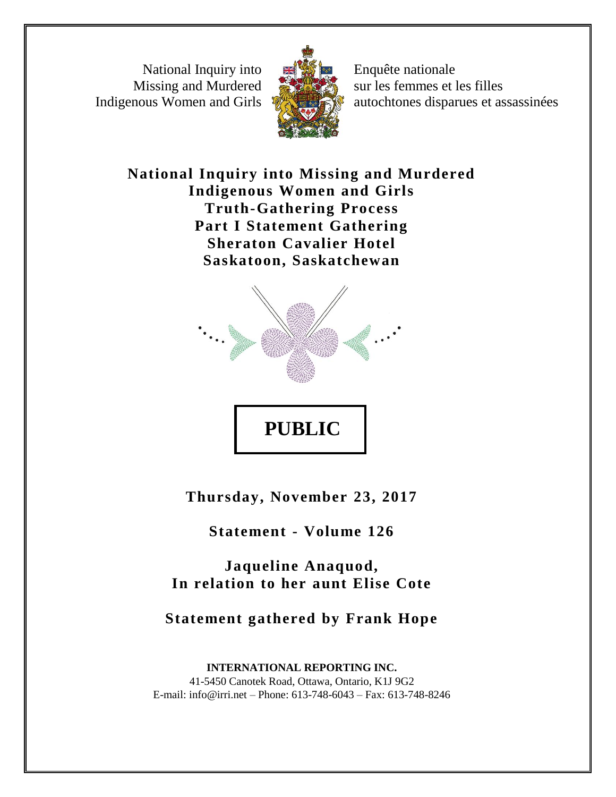National Inquiry into Missing and Murdered Indigenous Women and Girls



Enquête nationale sur les femmes et les filles autochtones disparues et assassinées

**National Inquiry into Missing and Murdered Indigenous Women and Girls Truth-Gathering Process Part I Statement Gathering Sheraton Cavalier Hotel Saskatoon, Saskatchewan**



**Thursday, November 23, 2017**

**PUBLIC** 

**Statement - Volume 126**

**Jaqueline Anaquod, In relation to her aunt Elise Cote**

**Statement gathered by Frank Hope**

**INTERNATIONAL REPORTING INC.** 41-5450 Canotek Road, Ottawa, Ontario, K1J 9G2 E-mail: info@irri.net – Phone: 613-748-6043 – Fax: 613-748-8246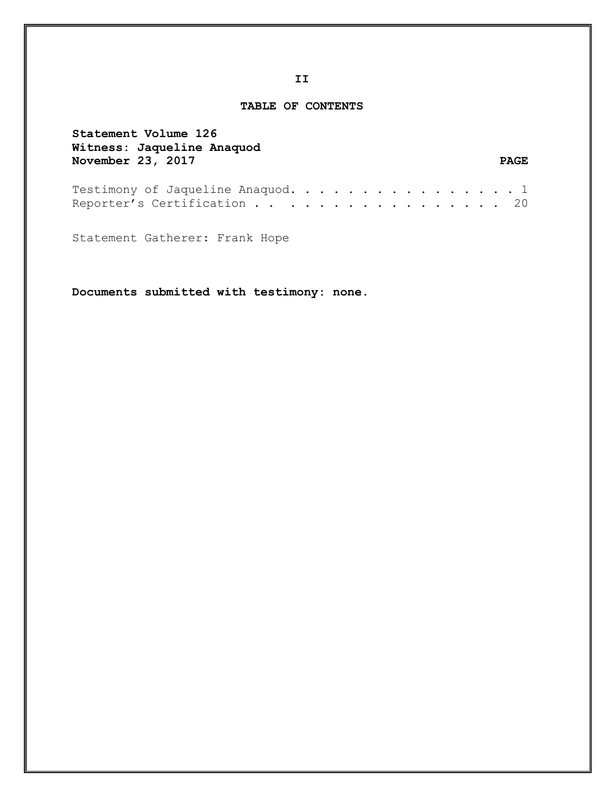## **TABLE OF CONTENTS**

| Statement Volume 126<br>Witness: Jaqueline Anaquod               |  |  |  |  |  |  |  |             |
|------------------------------------------------------------------|--|--|--|--|--|--|--|-------------|
| November 23, 2017                                                |  |  |  |  |  |  |  | <b>PAGE</b> |
| Testimony of Jaqueline Anaquod. 1<br>Reporter's Certification 20 |  |  |  |  |  |  |  |             |

Statement Gatherer: Frank Hope

**Documents submitted with testimony: none.**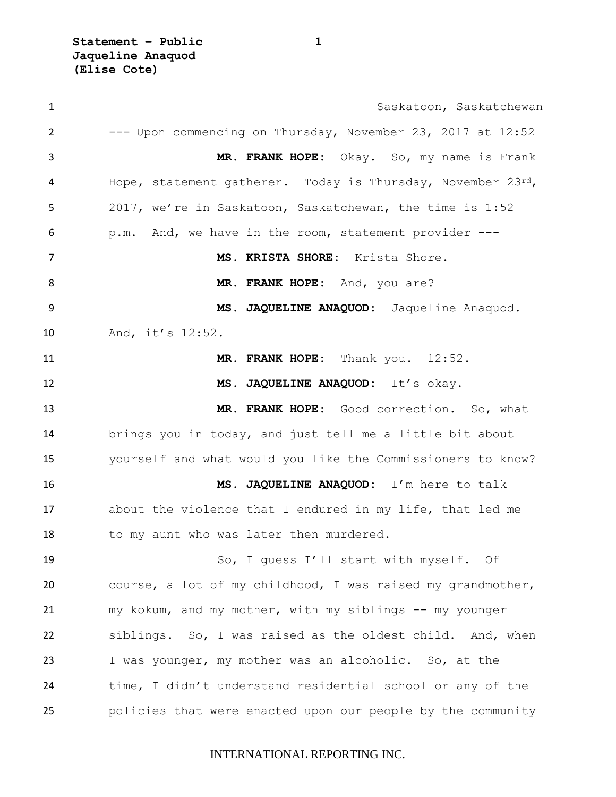1 Saskatoon, Saskatchewan --- Upon commencing on Thursday, November 23, 2017 at 12:52 **MR. FRANK HOPE:** Okay. So, my name is Frank 4 Hope, statement gatherer. Today is Thursday, November 23rd, 2017, we're in Saskatoon, Saskatchewan, the time is 1:52 p.m. And, we have in the room, statement provider --- **MS. KRISTA SHORE:** Krista Shore. **MR. FRANK HOPE:** And, you are? **MS. JAQUELINE ANAQUOD:** Jaqueline Anaquod. And, it's 12:52. **MR. FRANK HOPE:** Thank you. 12:52. **MS. JAQUELINE ANAQUOD:** It's okay. **MR. FRANK HOPE:** Good correction. So, what brings you in today, and just tell me a little bit about yourself and what would you like the Commissioners to know? **MS. JAQUELINE ANAQUOD:** I'm here to talk about the violence that I endured in my life, that led me 18 to my aunt who was later then murdered. So, I guess I'll start with myself. Of course, a lot of my childhood, I was raised my grandmother, my kokum, and my mother, with my siblings -- my younger siblings. So, I was raised as the oldest child. And, when I was younger, my mother was an alcoholic. So, at the time, I didn't understand residential school or any of the policies that were enacted upon our people by the community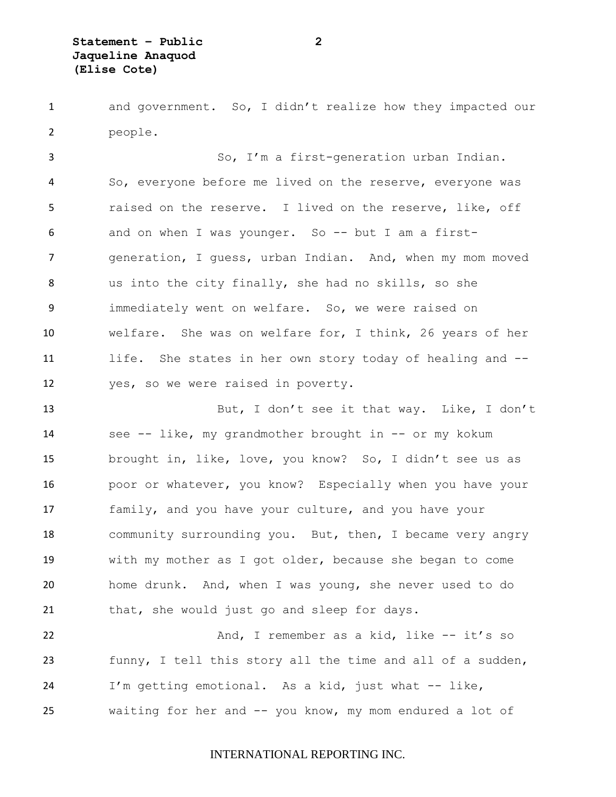and government. So, I didn't realize how they impacted our people.

 So, I'm a first-generation urban Indian. So, everyone before me lived on the reserve, everyone was raised on the reserve. I lived on the reserve, like, off and on when I was younger. So -- but I am a first- generation, I guess, urban Indian. And, when my mom moved us into the city finally, she had no skills, so she immediately went on welfare. So, we were raised on welfare. She was on welfare for, I think, 26 years of her life. She states in her own story today of healing and -- yes, so we were raised in poverty.

 But, I don't see it that way. Like, I don't see -- like, my grandmother brought in -- or my kokum brought in, like, love, you know? So, I didn't see us as poor or whatever, you know? Especially when you have your family, and you have your culture, and you have your 18 community surrounding you. But, then, I became very angry with my mother as I got older, because she began to come home drunk. And, when I was young, she never used to do that, she would just go and sleep for days.

22 And, I remember as a kid, like -- it's so funny, I tell this story all the time and all of a sudden, I'm getting emotional. As a kid, just what -- like, waiting for her and -- you know, my mom endured a lot of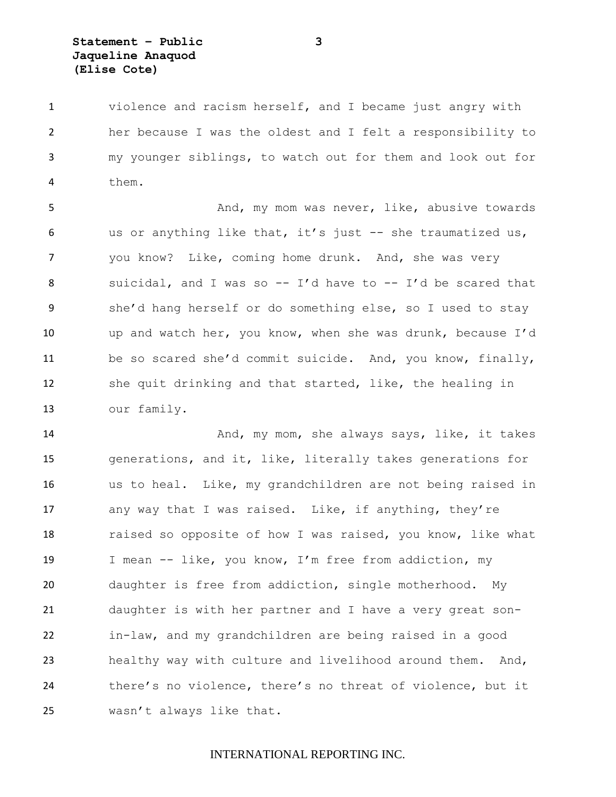violence and racism herself, and I became just angry with her because I was the oldest and I felt a responsibility to my younger siblings, to watch out for them and look out for them.

 And, my mom was never, like, abusive towards us or anything like that, it's just -- she traumatized us, you know? Like, coming home drunk. And, she was very suicidal, and I was so -- I'd have to -- I'd be scared that she'd hang herself or do something else, so I used to stay up and watch her, you know, when she was drunk, because I'd be so scared she'd commit suicide. And, you know, finally, she quit drinking and that started, like, the healing in our family.

 And, my mom, she always says, like, it takes generations, and it, like, literally takes generations for us to heal. Like, my grandchildren are not being raised in 17 any way that I was raised. Like, if anything, they're raised so opposite of how I was raised, you know, like what I mean -- like, you know, I'm free from addiction, my daughter is free from addiction, single motherhood. My daughter is with her partner and I have a very great son- in-law, and my grandchildren are being raised in a good healthy way with culture and livelihood around them. And, there's no violence, there's no threat of violence, but it wasn't always like that.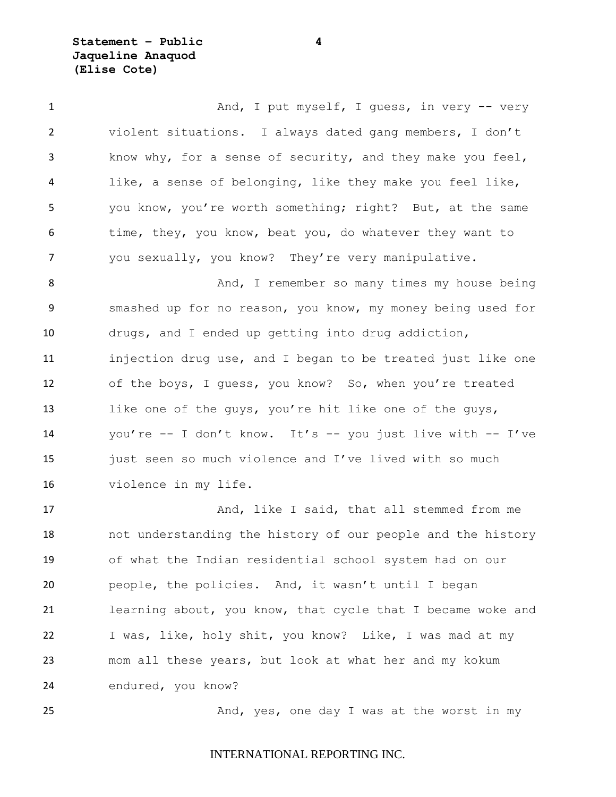**Statement – Public 4 Jaqueline Anaquod (Elise Cote)**

1 And, I put myself, I guess, in very -- very violent situations. I always dated gang members, I don't know why, for a sense of security, and they make you feel, like, a sense of belonging, like they make you feel like, you know, you're worth something; right? But, at the same 6 time, they, you know, beat you, do whatever they want to you sexually, you know? They're very manipulative.

8 And, I remember so many times my house being smashed up for no reason, you know, my money being used for drugs, and I ended up getting into drug addiction, injection drug use, and I began to be treated just like one of the boys, I guess, you know? So, when you're treated 13 like one of the guys, you're hit like one of the guys, you're -- I don't know. It's -- you just live with -- I've 15 just seen so much violence and I've lived with so much violence in my life.

17 And, like I said, that all stemmed from me not understanding the history of our people and the history of what the Indian residential school system had on our people, the policies. And, it wasn't until I began learning about, you know, that cycle that I became woke and I was, like, holy shit, you know? Like, I was mad at my mom all these years, but look at what her and my kokum endured, you know?

25 And, yes, one day I was at the worst in my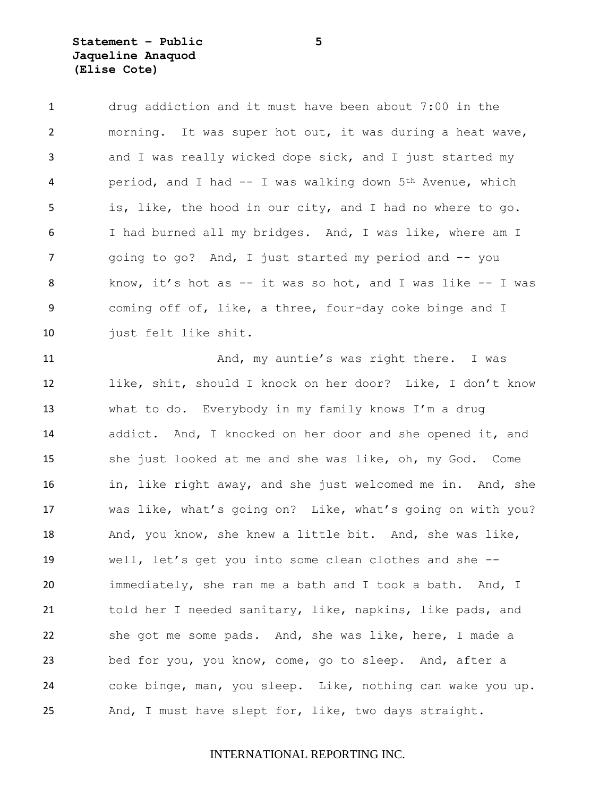**Statement – Public 5 Jaqueline Anaquod (Elise Cote)**

 drug addiction and it must have been about 7:00 in the morning. It was super hot out, it was during a heat wave, and I was really wicked dope sick, and I just started my 4 period, and I had -- I was walking down 5<sup>th</sup> Avenue, which is, like, the hood in our city, and I had no where to go. I had burned all my bridges. And, I was like, where am I 7 and in poing to go? And, I just started my period and -- you know, it's hot as -- it was so hot, and I was like -- I was coming off of, like, a three, four-day coke binge and I just felt like shit. And, my auntie's was right there. I was like, shit, should I knock on her door? Like, I don't know what to do. Everybody in my family knows I'm a drug addict. And, I knocked on her door and she opened it, and she just looked at me and she was like, oh, my God. Come in, like right away, and she just welcomed me in. And, she was like, what's going on? Like, what's going on with you? And, you know, she knew a little bit. And, she was like, well, let's get you into some clean clothes and she -- immediately, she ran me a bath and I took a bath. And, I told her I needed sanitary, like, napkins, like pads, and she got me some pads. And, she was like, here, I made a bed for you, you know, come, go to sleep. And, after a coke binge, man, you sleep. Like, nothing can wake you up. And, I must have slept for, like, two days straight.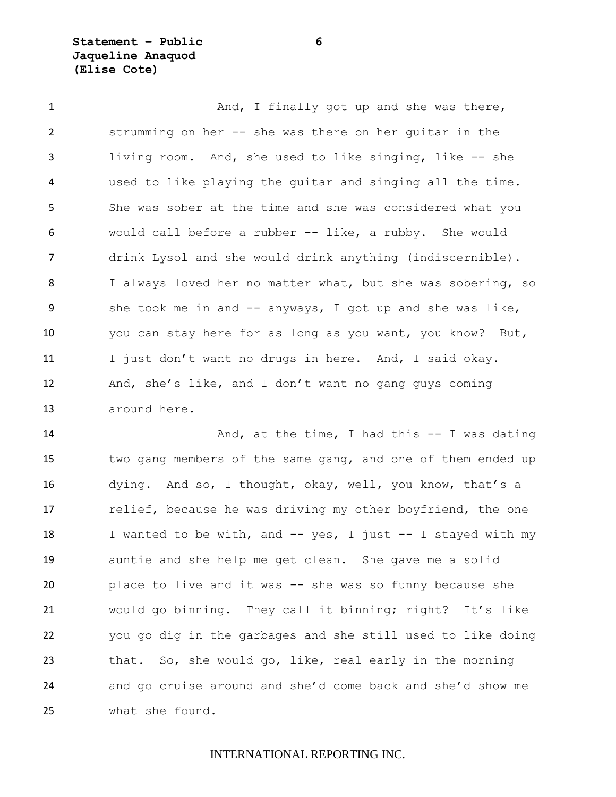**Statement – Public 6 Jaqueline Anaquod (Elise Cote)**

1 And, I finally got up and she was there, strumming on her -- she was there on her guitar in the living room. And, she used to like singing, like -- she used to like playing the guitar and singing all the time. She was sober at the time and she was considered what you would call before a rubber -- like, a rubby. She would drink Lysol and she would drink anything (indiscernible). I always loved her no matter what, but she was sobering, so 9 she took me in and -- anyways, I got up and she was like, you can stay here for as long as you want, you know? But, I just don't want no drugs in here. And, I said okay. And, she's like, and I don't want no gang guys coming around here.

 And, at the time, I had this -- I was dating two gang members of the same gang, and one of them ended up dying. And so, I thought, okay, well, you know, that's a 17 relief, because he was driving my other boyfriend, the one 18 I wanted to be with, and -- yes, I just -- I stayed with my auntie and she help me get clean. She gave me a solid place to live and it was -- she was so funny because she would go binning. They call it binning; right? It's like you go dig in the garbages and she still used to like doing that. So, she would go, like, real early in the morning and go cruise around and she'd come back and she'd show me what she found.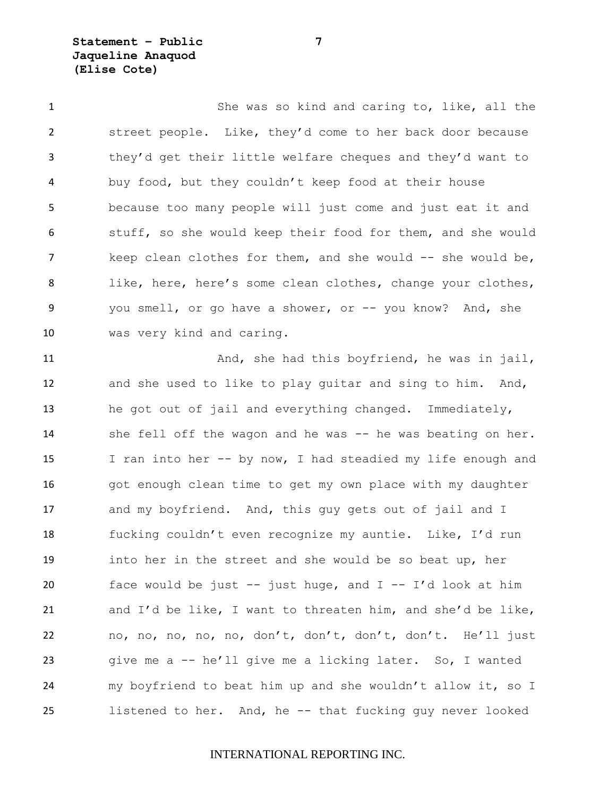**Statement – Public 7 Jaqueline Anaquod (Elise Cote)**

 She was so kind and caring to, like, all the street people. Like, they'd come to her back door because they'd get their little welfare cheques and they'd want to buy food, but they couldn't keep food at their house because too many people will just come and just eat it and stuff, so she would keep their food for them, and she would 7 keep clean clothes for them, and she would -- she would be, like, here, here's some clean clothes, change your clothes, you smell, or go have a shower, or -- you know? And, she was very kind and caring.

11 And, she had this boyfriend, he was in jail, and she used to like to play guitar and sing to him. And, he got out of jail and everything changed. Immediately, 14 she fell off the wagon and he was -- he was beating on her. I ran into her -- by now, I had steadied my life enough and 16 got enough clean time to get my own place with my daughter 17 and my boyfriend. And, this guy gets out of jail and I fucking couldn't even recognize my auntie. Like, I'd run into her in the street and she would be so beat up, her face would be just -- just huge, and I -- I'd look at him and I'd be like, I want to threaten him, and she'd be like, no, no, no, no, no, don't, don't, don't, don't. He'll just give me a -- he'll give me a licking later. So, I wanted my boyfriend to beat him up and she wouldn't allow it, so I listened to her. And, he -- that fucking guy never looked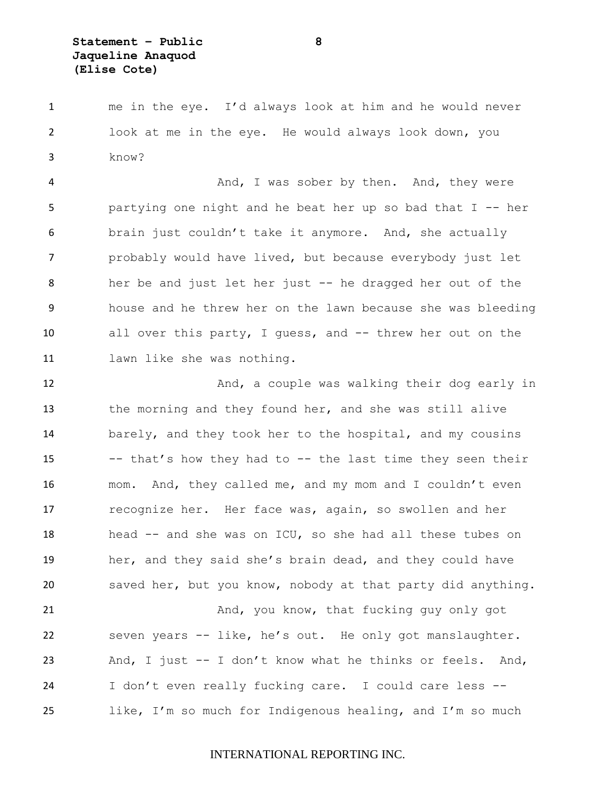me in the eye. I'd always look at him and he would never look at me in the eye. He would always look down, you know?

4 And, I was sober by then. And, they were partying one night and he beat her up so bad that I -- her brain just couldn't take it anymore. And, she actually probably would have lived, but because everybody just let her be and just let her just -- he dragged her out of the house and he threw her on the lawn because she was bleeding all over this party, I guess, and -- threw her out on the lawn like she was nothing.

12 And, a couple was walking their dog early in the morning and they found her, and she was still alive barely, and they took her to the hospital, and my cousins -- that's how they had to -- the last time they seen their mom. And, they called me, and my mom and I couldn't even recognize her. Her face was, again, so swollen and her head -- and she was on ICU, so she had all these tubes on her, and they said she's brain dead, and they could have saved her, but you know, nobody at that party did anything.

 And, you know, that fucking guy only got seven years -- like, he's out. He only got manslaughter. And, I just -- I don't know what he thinks or feels. And, I don't even really fucking care. I could care less -- like, I'm so much for Indigenous healing, and I'm so much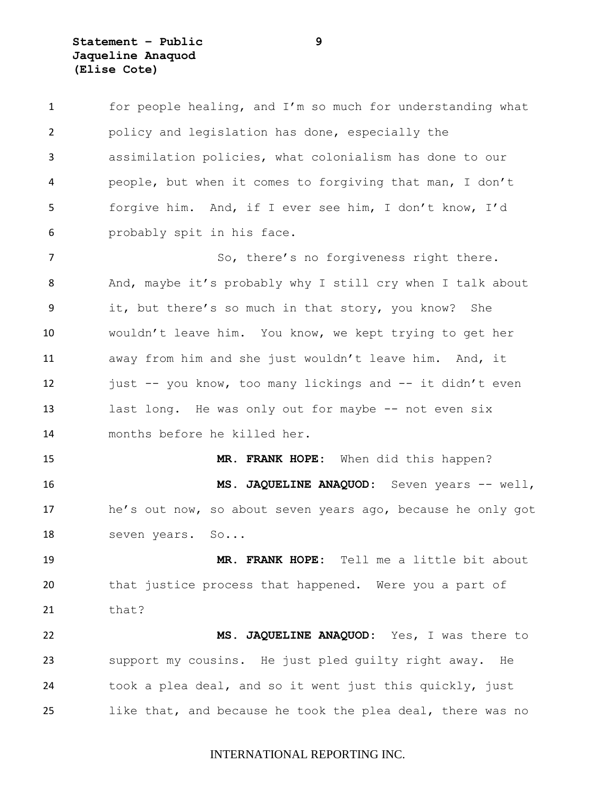# **Statement – Public 9 Jaqueline Anaquod (Elise Cote)**

| 1              | for people healing, and I'm so much for understanding what  |
|----------------|-------------------------------------------------------------|
| 2              | policy and legislation has done, especially the             |
| 3              | assimilation policies, what colonialism has done to our     |
| 4              | people, but when it comes to forgiving that man, I don't    |
| 5              | forgive him. And, if I ever see him, I don't know, I'd      |
| 6              | probably spit in his face.                                  |
| $\overline{7}$ | So, there's no forgiveness right there.                     |
| 8              | And, maybe it's probably why I still cry when I talk about  |
| 9              | it, but there's so much in that story, you know? She        |
| 10             | wouldn't leave him. You know, we kept trying to get her     |
| 11             | away from him and she just wouldn't leave him. And, it      |
| 12             | just -- you know, too many lickings and -- it didn't even   |
| 13             | last long. He was only out for maybe -- not even six        |
| 14             | months before he killed her.                                |
| 15             | MR. FRANK HOPE: When did this happen?                       |
| 16             | MS. JAQUELINE ANAQUOD: Seven years -- well,                 |
| 17             | he's out now, so about seven years ago, because he only got |
| 18             | seven years.<br>$\mathbb{S} \circ \ldots$                   |
| 19             | MR. FRANK HOPE: Tell me a little bit about                  |
| 20             | that justice process that happened. Were you a part of      |
| 21             | that?                                                       |
| 22             | MS. JAQUELINE ANAQUOD: Yes, I was there to                  |
| 23             | support my cousins. He just pled quilty right away. He      |
| 24             | took a plea deal, and so it went just this quickly, just    |
| 25             | like that, and because he took the plea deal, there was no  |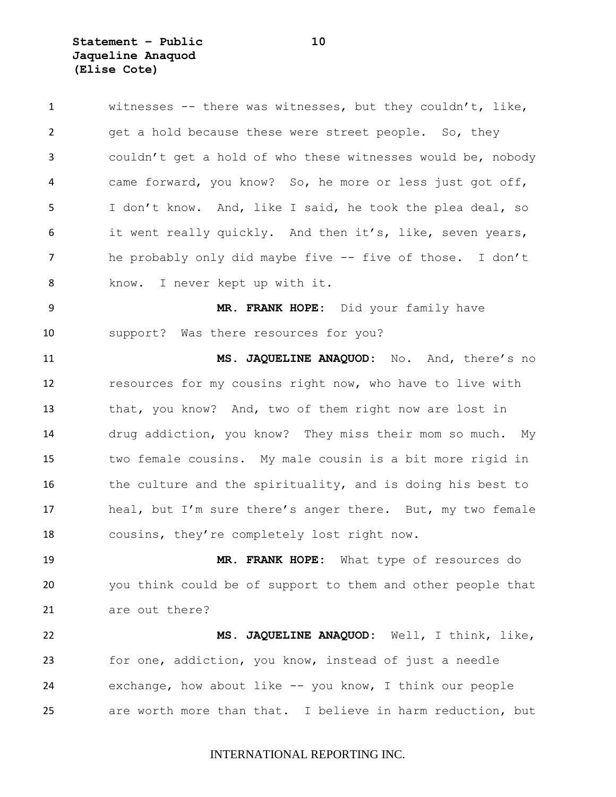**Statement – Public 10 Jaqueline Anaquod (Elise Cote)**

| $\mathbf{1}$ | witnesses -- there was witnesses, but they couldn't, like,  |
|--------------|-------------------------------------------------------------|
| 2            | get a hold because these were street people. So, they       |
| 3            | couldn't get a hold of who these witnesses would be, nobody |
| 4            | came forward, you know? So, he more or less just got off,   |
| 5            | I don't know. And, like I said, he took the plea deal, so   |
| 6            | it went really quickly. And then it's, like, seven years,   |
| 7            | he probably only did maybe five -- five of those. I don't   |
| 8            | know. I never kept up with it.                              |
| 9            | MR. FRANK HOPE: Did your family have                        |
| 10           | support? Was there resources for you?                       |
| 11           | MS. JAQUELINE ANAQUOD: No. And, there's no                  |
| 12           | resources for my cousins right now, who have to live with   |
| 13           | that, you know? And, two of them right now are lost in      |
| 14           | drug addiction, you know? They miss their mom so much. My   |
| 15           | two female cousins. My male cousin is a bit more rigid in   |
| 16           | the culture and the spirituality, and is doing his best to  |
| 17           | heal, but I'm sure there's anger there. But, my two female  |
| 18           | cousins, they're completely lost right now.                 |
| 19           | MR. FRANK HOPE: What type of resources do                   |
| 20           | you think could be of support to them and other people that |
| 21           | are out there?                                              |
| 22           | MS. JAQUELINE ANAQUOD: Well, I think, like,                 |
| 23           | for one, addiction, you know, instead of just a needle      |
| 24           | exchange, how about like -- you know, I think our people    |
| 25           | are worth more than that. I believe in harm reduction, but  |
|              |                                                             |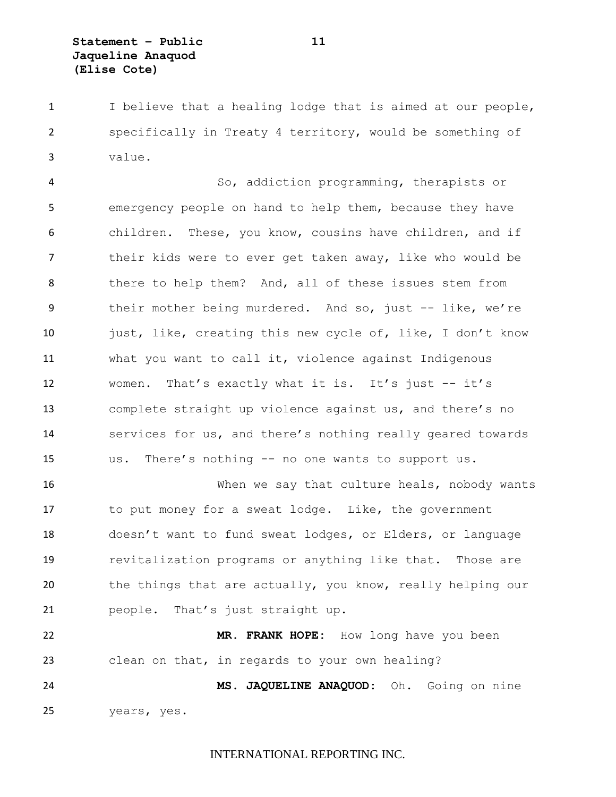I believe that a healing lodge that is aimed at our people, specifically in Treaty 4 territory, would be something of value.

 So, addiction programming, therapists or emergency people on hand to help them, because they have children. These, you know, cousins have children, and if their kids were to ever get taken away, like who would be there to help them? And, all of these issues stem from their mother being murdered. And so, just -- like, we're just, like, creating this new cycle of, like, I don't know what you want to call it, violence against Indigenous women. That's exactly what it is. It's just -- it's complete straight up violence against us, and there's no services for us, and there's nothing really geared towards us. There's nothing -- no one wants to support us.

 When we say that culture heals, nobody wants to put money for a sweat lodge. Like, the government doesn't want to fund sweat lodges, or Elders, or language revitalization programs or anything like that. Those are 20 the things that are actually, you know, really helping our people. That's just straight up.

 **MR. FRANK HOPE:** How long have you been clean on that, in regards to your own healing?

 **MS. JAQUELINE ANAQUOD:** Oh. Going on nine years, yes.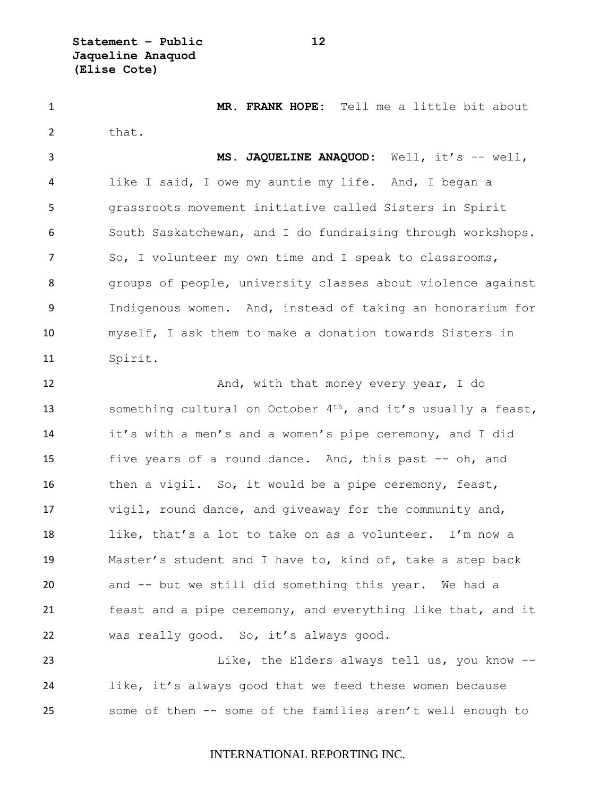**Statement – Public 12 Jaqueline Anaquod (Elise Cote)**

 **MR. FRANK HOPE:** Tell me a little bit about 2 that.

 **MS. JAQUELINE ANAQUOD:** Well, it's -- well, like I said, I owe my auntie my life. And, I began a grassroots movement initiative called Sisters in Spirit South Saskatchewan, and I do fundraising through workshops. So, I volunteer my own time and I speak to classrooms, groups of people, university classes about violence against Indigenous women. And, instead of taking an honorarium for myself, I ask them to make a donation towards Sisters in Spirit.

**And, with that money every year, I do** 13 something cultural on October 4<sup>th</sup>, and it's usually a feast, it's with a men's and a women's pipe ceremony, and I did five years of a round dance. And, this past -- oh, and then a vigil. So, it would be a pipe ceremony, feast, vigil, round dance, and giveaway for the community and, like, that's a lot to take on as a volunteer. I'm now a Master's student and I have to, kind of, take a step back and -- but we still did something this year. We had a feast and a pipe ceremony, and everything like that, and it was really good. So, it's always good.

23 Like, the Elders always tell us, you know -- like, it's always good that we feed these women because some of them -- some of the families aren't well enough to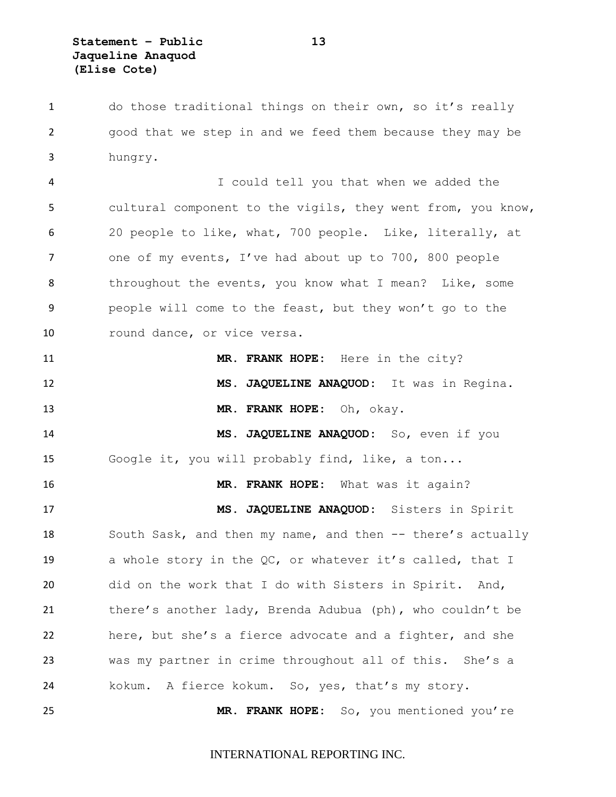do those traditional things on their own, so it's really good that we step in and we feed them because they may be hungry. I could tell you that when we added the cultural component to the vigils, they went from, you know, 20 people to like, what, 700 people. Like, literally, at one of my events, I've had about up to 700, 800 people 8 throughout the events, you know what I mean? Like, some people will come to the feast, but they won't go to the 10 round dance, or vice versa. **MR. FRANK HOPE:** Here in the city? **MS. JAQUELINE ANAQUOD:** It was in Regina. **MR. FRANK HOPE:** Oh, okay. **MS. JAQUELINE ANAQUOD:** So, even if you Google it, you will probably find, like, a ton... **MR. FRANK HOPE:** What was it again? **MS. JAQUELINE ANAQUOD:** Sisters in Spirit 18 South Sask, and then my name, and then -- there's actually a whole story in the QC, or whatever it's called, that I did on the work that I do with Sisters in Spirit. And, there's another lady, Brenda Adubua (ph), who couldn't be

 was my partner in crime throughout all of this. She's a kokum. A fierce kokum. So, yes, that's my story.

here, but she's a fierce advocate and a fighter, and she

**MR. FRANK HOPE:** So, you mentioned you're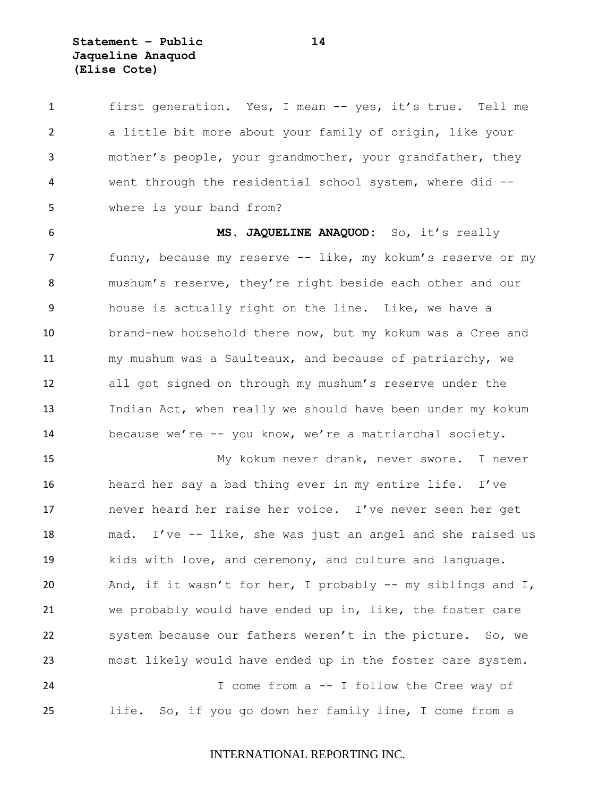**Statement – Public 14 Jaqueline Anaquod (Elise Cote)**

 first generation. Yes, I mean -- yes, it's true. Tell me a little bit more about your family of origin, like your mother's people, your grandmother, your grandfather, they went through the residential school system, where did -- where is your band from?

 **MS. JAQUELINE ANAQUOD:** So, it's really 7 funny, because my reserve -- like, my kokum's reserve or my mushum's reserve, they're right beside each other and our house is actually right on the line. Like, we have a brand-new household there now, but my kokum was a Cree and my mushum was a Saulteaux, and because of patriarchy, we all got signed on through my mushum's reserve under the Indian Act, when really we should have been under my kokum because we're -- you know, we're a matriarchal society.

 My kokum never drank, never swore. I never heard her say a bad thing ever in my entire life. I've never heard her raise her voice. I've never seen her get mad. I've -- like, she was just an angel and she raised us kids with love, and ceremony, and culture and language. And, if it wasn't for her, I probably -- my siblings and I, we probably would have ended up in, like, the foster care system because our fathers weren't in the picture. So, we most likely would have ended up in the foster care system. I come from a -- I follow the Cree way of life. So, if you go down her family line, I come from a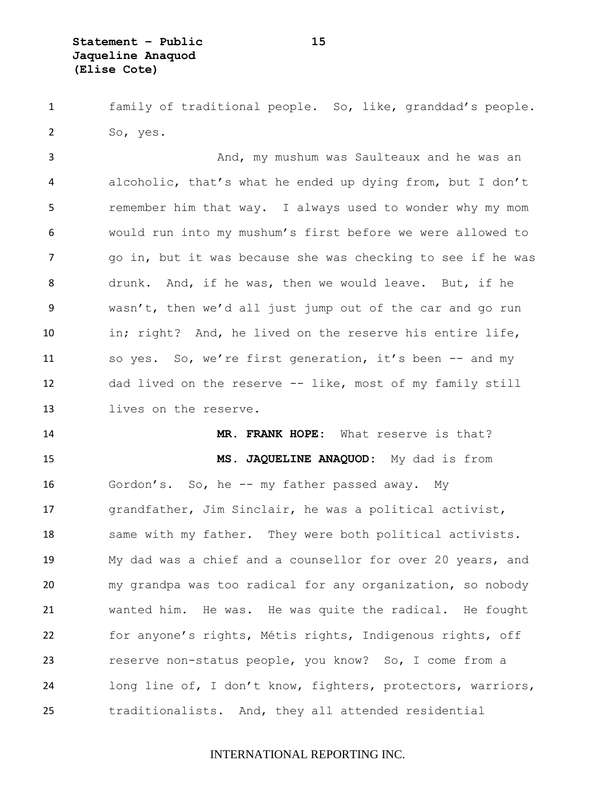family of traditional people. So, like, granddad's people. So, yes.

 And, my mushum was Saulteaux and he was an alcoholic, that's what he ended up dying from, but I don't remember him that way. I always used to wonder why my mom would run into my mushum's first before we were allowed to go in, but it was because she was checking to see if he was drunk. And, if he was, then we would leave. But, if he wasn't, then we'd all just jump out of the car and go run in; right? And, he lived on the reserve his entire life, so yes. So, we're first generation, it's been -- and my dad lived on the reserve -- like, most of my family still lives on the reserve.

 **MR. FRANK HOPE:** What reserve is that? **MS. JAQUELINE ANAQUOD:** My dad is from Gordon's. So, he -- my father passed away. My grandfather, Jim Sinclair, he was a political activist, 18 same with my father. They were both political activists. My dad was a chief and a counsellor for over 20 years, and my grandpa was too radical for any organization, so nobody wanted him. He was. He was quite the radical. He fought for anyone's rights, Métis rights, Indigenous rights, off reserve non-status people, you know? So, I come from a long line of, I don't know, fighters, protectors, warriors, traditionalists. And, they all attended residential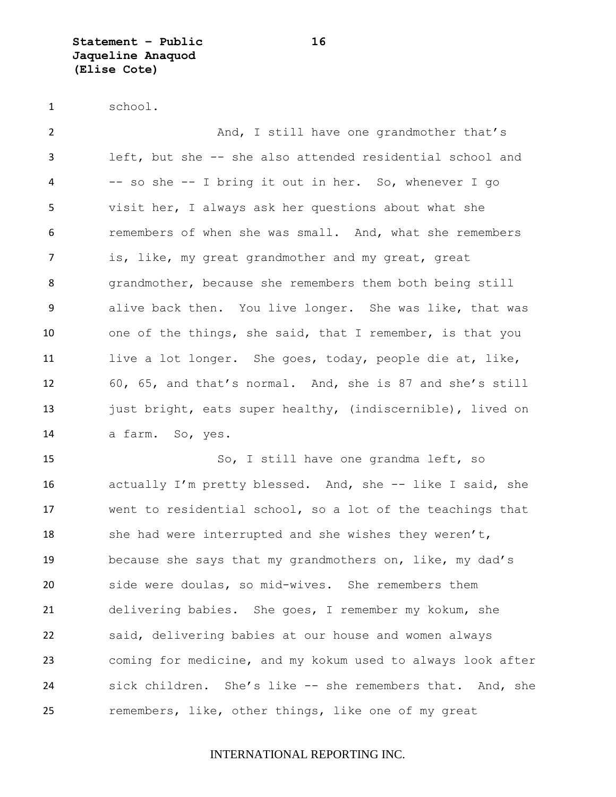**Statement – Public 16 Jaqueline Anaquod (Elise Cote)**

school.

 And, I still have one grandmother that's left, but she -- she also attended residential school and -- so she -- I bring it out in her. So, whenever I go visit her, I always ask her questions about what she remembers of when she was small. And, what she remembers 7 is, like, my great grandmother and my great, great grandmother, because she remembers them both being still alive back then. You live longer. She was like, that was one of the things, she said, that I remember, is that you live a lot longer. She goes, today, people die at, like, 60, 65, and that's normal. And, she is 87 and she's still 13 just bright, eats super healthy, (indiscernible), lived on a farm. So, yes.

 So, I still have one grandma left, so actually I'm pretty blessed. And, she -- like I said, she went to residential school, so a lot of the teachings that 18 she had were interrupted and she wishes they weren't, because she says that my grandmothers on, like, my dad's side were doulas, so mid-wives. She remembers them delivering babies. She goes, I remember my kokum, she said, delivering babies at our house and women always coming for medicine, and my kokum used to always look after sick children. She's like -- she remembers that. And, she remembers, like, other things, like one of my great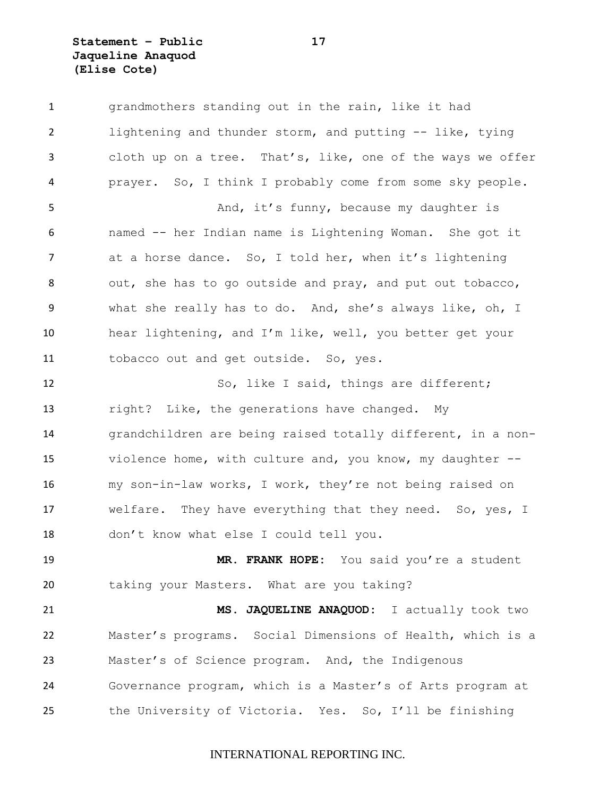**Statement – Public 17 Jaqueline Anaquod (Elise Cote)**

 grandmothers standing out in the rain, like it had lightening and thunder storm, and putting -- like, tying cloth up on a tree. That's, like, one of the ways we offer prayer. So, I think I probably come from some sky people. 5 And, it's funny, because my daughter is named -- her Indian name is Lightening Woman. She got it at a horse dance. So, I told her, when it's lightening out, she has to go outside and pray, and put out tobacco, what she really has to do. And, she's always like, oh, I hear lightening, and I'm like, well, you better get your tobacco out and get outside. So, yes. So, like I said, things are different; right? Like, the generations have changed. My grandchildren are being raised totally different, in a non- violence home, with culture and, you know, my daughter -- my son-in-law works, I work, they're not being raised on welfare. They have everything that they need. So, yes, I don't know what else I could tell you. **MR. FRANK HOPE:** You said you're a student taking your Masters. What are you taking? **MS. JAQUELINE ANAQUOD:** I actually took two Master's programs. Social Dimensions of Health, which is a Master's of Science program. And, the Indigenous Governance program, which is a Master's of Arts program at the University of Victoria. Yes. So, I'll be finishing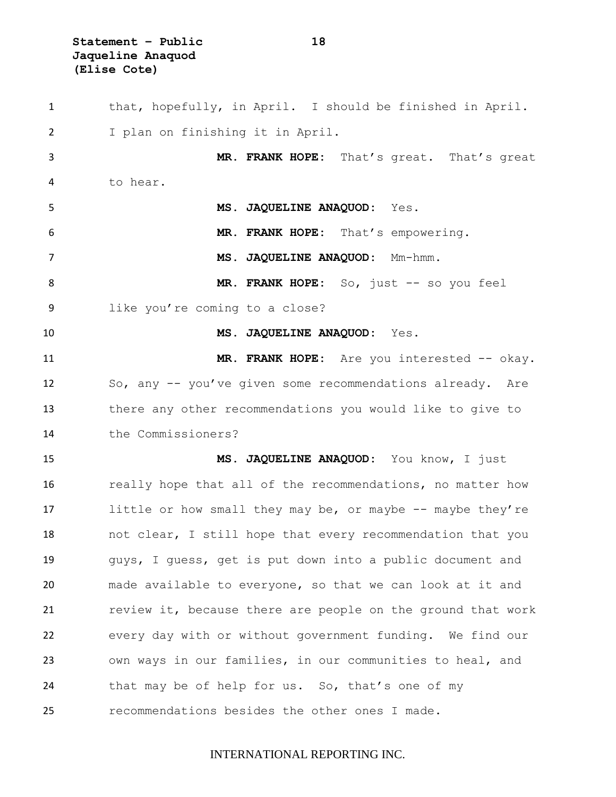**Statement – Public 18 Jaqueline Anaquod (Elise Cote)**

 that, hopefully, in April. I should be finished in April. I plan on finishing it in April. **MR. FRANK HOPE:** That's great. That's great to hear. **MS. JAQUELINE ANAQUOD:** Yes. **MR. FRANK HOPE:** That's empowering. **MS. JAQUELINE ANAQUOD:** Mm-hmm. **MR. FRANK HOPE:** So, just -- so you feel like you're coming to a close? **MS. JAQUELINE ANAQUOD:** Yes. 11 MR. FRANK HOPE: Are you interested -- okay. So, any -- you've given some recommendations already. Are there any other recommendations you would like to give to the Commissioners? **MS. JAQUELINE ANAQUOD:** You know, I just really hope that all of the recommendations, no matter how 17 little or how small they may be, or maybe -- maybe they're not clear, I still hope that every recommendation that you guys, I guess, get is put down into a public document and made available to everyone, so that we can look at it and review it, because there are people on the ground that work every day with or without government funding. We find our own ways in our families, in our communities to heal, and that may be of help for us. So, that's one of my recommendations besides the other ones I made.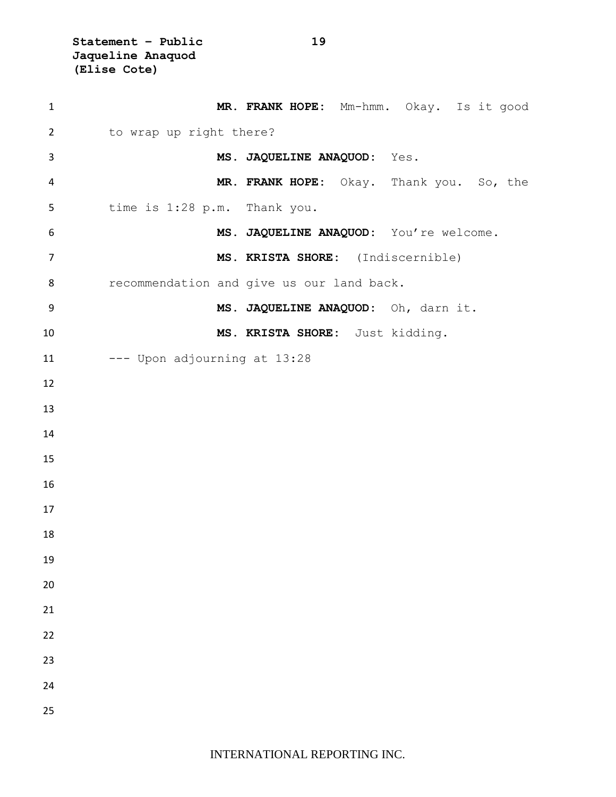**Statement – Public 19 Jaqueline Anaquod (Elise Cote)**

| $\mathbf{1}$   | MR. FRANK HOPE: Mm-hmm. Okay. Is it good  |
|----------------|-------------------------------------------|
| $\overline{2}$ | to wrap up right there?                   |
| $\mathsf{3}$   | MS. JAQUELINE ANAQUOD: Yes.               |
| 4              | MR. FRANK HOPE: Okay. Thank you. So, the  |
| 5              | time is 1:28 p.m. Thank you.              |
| 6              | MS. JAQUELINE ANAQUOD: You're welcome.    |
| $\overline{7}$ | MS. KRISTA SHORE: (Indiscernible)         |
| 8              | recommendation and give us our land back. |
| 9              | MS. JAQUELINE ANAQUOD: Oh, darn it.       |
| 10             | MS. KRISTA SHORE: Just kidding.           |
| 11             | --- Upon adjourning at 13:28              |
| 12             |                                           |
| 13             |                                           |
| 14             |                                           |
| 15             |                                           |
| 16             |                                           |
| 17             |                                           |
| 18             |                                           |
| 19             |                                           |
| 20             |                                           |
| 21             |                                           |
| 22             |                                           |
| 23             |                                           |
| 24             |                                           |
| 25             |                                           |